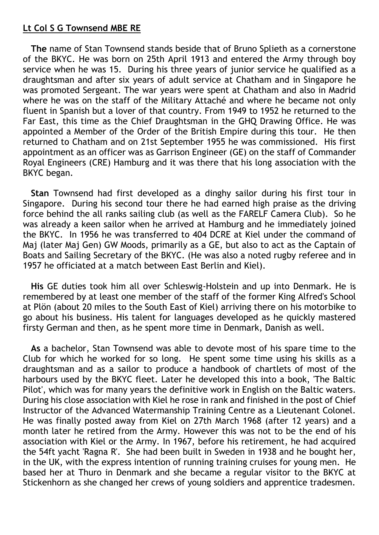## **Lt Col S G Townsend MBE RE**

 **The** name of Stan Townsend stands beside that of Bruno Splieth as a cornerstone of the BKYC. He was born on 25th April 1913 and entered the Army through boy service when he was 15. During his three years of junior service he qualified as a draughtsman and after six years of adult service at Chatham and in Singapore he was promoted Sergeant. The war years were spent at Chatham and also in Madrid where he was on the staff of the Military Attaché and where he became not only fluent in Spanish but a lover of that country. From 1949 to 1952 he returned to the Far East, this time as the Chief Draughtsman in the GHQ Drawing Office. He was appointed a Member of the Order of the British Empire during this tour. He then returned to Chatham and on 21st September 1955 he was commissioned. His first appointment as an officer was as Garrison Engineer (GE) on the staff of Commander Royal Engineers (CRE) Hamburg and it was there that his long association with the BKYC began.

 **Stan** Townsend had first developed as a dinghy sailor during his first tour in Singapore. During his second tour there he had earned high praise as the driving force behind the all ranks sailing club (as well as the FARELF Camera Club). So he was already a keen sailor when he arrived at Hamburg and he immediately joined the BKYC. In 1956 he was transferred to 404 DCRE at Kiel under the command of Maj (later Maj Gen) GW Moods, primarily as a GE, but also to act as the Captain of Boats and Sailing Secretary of the BKYC. (He was also a noted rugby referee and in 1957 he officiated at a match between East Berlin and Kiel).

 **His** GE duties took him all over Schleswig-Holstein and up into Denmark. He is remembered by at least one member of the staff of the former King Alfred's School at Plön (about 20 miles to the South East of Kiel) arriving there on his motorbike to go about his business. His talent for languages developed as he quickly mastered firsty German and then, as he spent more time in Denmark, Danish as well.

 **As** a bachelor, Stan Townsend was able to devote most of his spare time to the Club for which he worked for so long. He spent some time using his skills as a draughtsman and as a sailor to produce a handbook of chartlets of most of the harbours used by the BKYC fleet. Later he developed this into a book, 'The Baltic Pilot', which was for many years the definitive work in English on the Baltic waters. During his close association with Kiel he rose in rank and finished in the post of Chief Instructor of the Advanced Watermanship Training Centre as a Lieutenant Colonel. He was finally posted away from Kiel on 27th March 1968 (after 12 years) and a month later he retired from the Army. However this was not to be the end of his association with Kiel or the Army. In 1967, before his retirement, he had acquired the 54ft yacht 'Ragna R'. She had been built in Sweden in 1938 and he bought her, in the UK, with the express intention of running training cruises for young men. He based her at Thuro in Denmark and she became a regular visitor to the BKYC at Stickenhorn as she changed her crews of young soldiers and apprentice tradesmen.